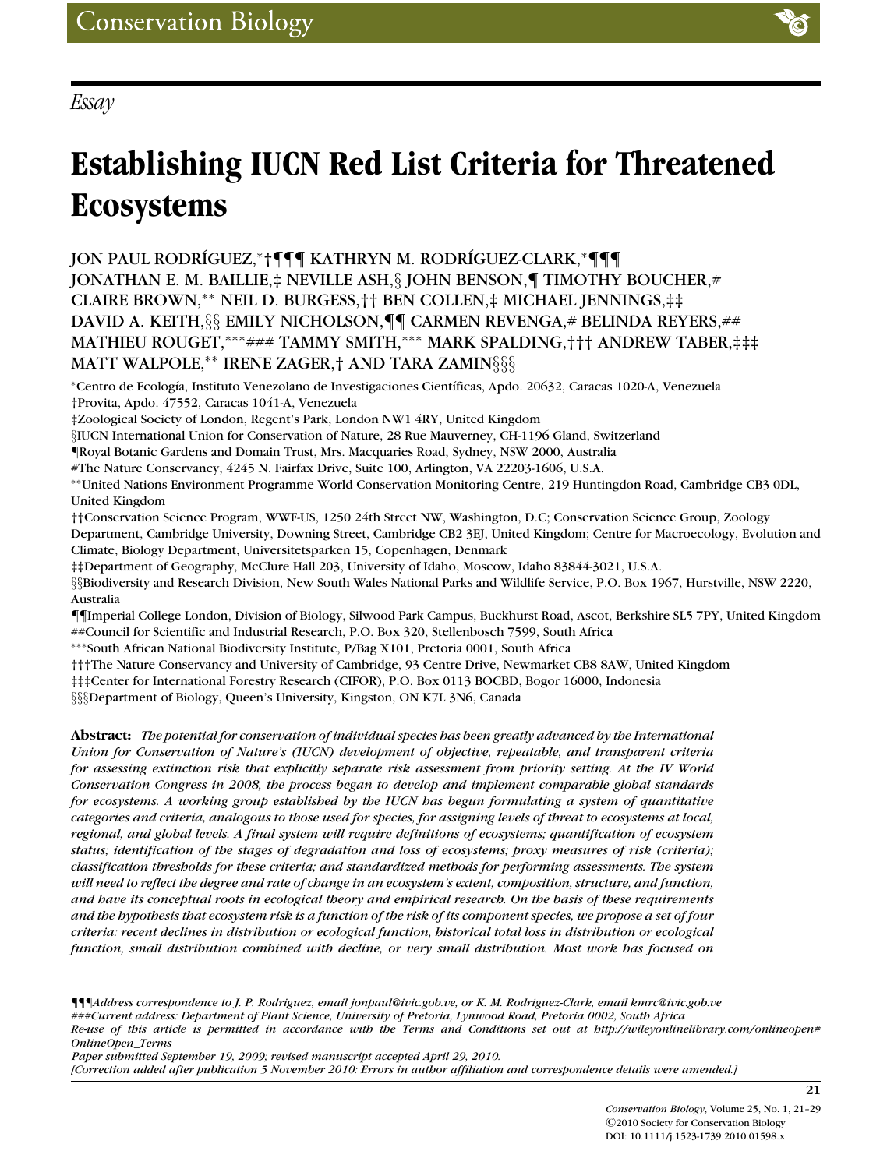*Essay*

# **Establishing IUCN Red List Criteria for Threatened Ecosystems**

JON PAUL RODRÍGUEZ,\*†¶¶¶ KATHRYN M. RODRÍGUEZ-CLARK,\*¶¶¶ JONATHAN E. M. BAILLIE, ‡ NEVILLE ASH, § JOHN BENSON, ¶ TIMOTHY BOUCHER, # CLAIRE BROWN,∗∗ NEIL D. BURGESS,†† BEN COLLEN,‡ MICHAEL JENNINGS,‡‡ DAVID A. KEITH, §§ EMILY NICHOLSON, ¶¶ CARMEN REVENGA,# BELINDA REYERS,## MATHIEU ROUGET,∗∗∗### TAMMY SMITH,∗∗∗ MARK SPALDING,††† ANDREW TABER,‡‡‡ MATT WALPOLE,∗∗ IRENE ZAGER,† AND TARA ZAMIN§§§

<sup>∗</sup>Centro de Ecolog´ıa, Instituto Venezolano de Investigaciones Cient´ıficas, Apdo. 20632, Caracas 1020-A, Venezuela †Provita, Apdo. 47552, Caracas 1041-A, Venezuela

‡Zoological Society of London, Regent's Park, London NW1 4RY, United Kingdom

§IUCN International Union for Conservation of Nature, 28 Rue Mauverney, CH-1196 Gland, Switzerland

¶Royal Botanic Gardens and Domain Trust, Mrs. Macquaries Road, Sydney, NSW 2000, Australia

#The Nature Conservancy, 4245 N. Fairfax Drive, Suite 100, Arlington, VA 22203-1606, U.S.A.

∗∗United Nations Environment Programme World Conservation Monitoring Centre, 219 Huntingdon Road, Cambridge CB3 0DL, United Kingdom

††Conservation Science Program, WWF-US, 1250 24th Street NW, Washington, D.C; Conservation Science Group, Zoology Department, Cambridge University, Downing Street, Cambridge CB2 3EJ, United Kingdom; Centre for Macroecology, Evolution and Climate, Biology Department, Universitetsparken 15, Copenhagen, Denmark

‡‡Department of Geography, McClure Hall 203, University of Idaho, Moscow, Idaho 83844-3021, U.S.A.

§§Biodiversity and Research Division, New South Wales National Parks and Wildlife Service, P.O. Box 1967, Hurstville, NSW 2220, Australia

¶¶Imperial College London, Division of Biology, Silwood Park Campus, Buckhurst Road, Ascot, Berkshire SL5 7PY, United Kingdom ##Council for Scientific and Industrial Research, P.O. Box 320, Stellenbosch 7599, South Africa

∗∗∗South African National Biodiversity Institute, P/Bag X101, Pretoria 0001, South Africa

†††The Nature Conservancy and University of Cambridge, 93 Centre Drive, Newmarket CB8 8AW, United Kingdom

‡‡‡Center for International Forestry Research (CIFOR), P.O. Box 0113 BOCBD, Bogor 16000, Indonesia

§§§Department of Biology, Queen's University, Kingston, ON K7L 3N6, Canada

**Abstract:** *The potential for conservation of individual species has been greatly advanced by the International Union for Conservation of Nature's (IUCN) development of objective, repeatable, and transparent criteria for assessing extinction risk that explicitly separate risk assessment from priority setting. At the IV World Conservation Congress in 2008, the process began to develop and implement comparable global standards for ecosystems. A working group established by the IUCN has begun formulating a system of quantitative categories and criteria, analogous to those used for species, for assigning levels of threat to ecosystems at local, regional, and global levels. A final system will require definitions of ecosystems; quantification of ecosystem status; identification of the stages of degradation and loss of ecosystems; proxy measures of risk (criteria); classification thresholds for these criteria; and standardized methods for performing assessments. The system will need to reflect the degree and rate of change in an ecosystem's extent, composition, structure, and function, and have its conceptual roots in ecological theory and empirical research. On the basis of these requirements and the hypothesis that ecosystem risk is a function of the risk of its component species, we propose a set of four criteria: recent declines in distribution or ecological function, historical total loss in distribution or ecological function, small distribution combined with decline, or very small distribution. Most work has focused on*

¶¶¶*Address correspondence to J. P. Rodriguez, email jonpaul@ivic.gob.ve, or K. M. Rodriguez-Clark, email kmrc@ivic.gob.ve*

*###Current address: Department of Plant Science, University of Pretoria, Lynwood Road, Pretoria 0002, South Africa*

*Re-use of this article is permitted in accordance with the Terms and Conditions set out at http://wileyonlinelibrary.com/onlineopen# OnlineOpen\_Terms*

*Paper submitted September 19, 2009; revised manuscript accepted April 29, 2010.*

*[Correction added after publication 5 November 2010: Errors in author affiliation and correspondence details were amended.]*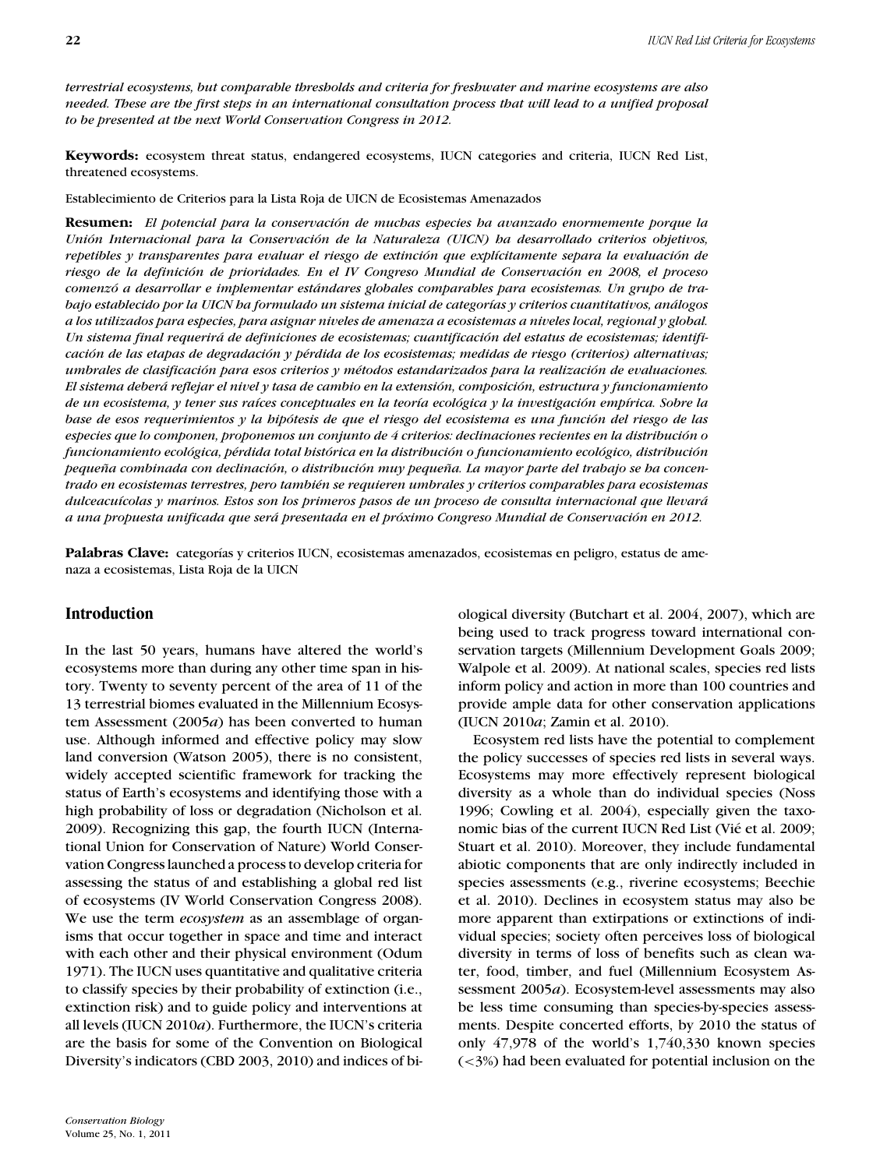*terrestrial ecosystems, but comparable thresholds and criteria for freshwater and marine ecosystems are also needed. These are the first steps in an international consultation process that will lead to a unified proposal to be presented at the next World Conservation Congress in 2012.*

**Keywords:** ecosystem threat status, endangered ecosystems, IUCN categories and criteria, IUCN Red List, threatened ecosystems.

Establecimiento de Criterios para la Lista Roja de UICN de Ecosistemas Amenazados

**Resumen:** *El potencial para la conservacion de muchas especies ha avanzado enormemente porque la ´ Union Internacional para la Conservaci ´ on de la Naturaleza (UICN) ha desarrollado criterios objetivos, ´ repetibles y transparentes para evaluar el riesgo de extinción que explícitamente separa la evaluación de riesgo de la definicion de prioridades. En el IV Congreso Mundial de Conservaci ´ on en 2008, el proceso ´ comenzo a desarrollar e implementar est ´ andares globales comparables para ecosistemas. Un grupo de tra- ´ bajo establecido por la UICN ha formulado un sistema inicial de categor´ıas y criterios cuantitativos, analogos ´ a los utilizados para especies, para asignar niveles de amenaza a ecosistemas a niveles local, regional y global. Un sistema final requerira de definiciones de ecosistemas; cuantificaci ´ on del estatus de ecosistemas; identifi- ´ cacion de las etapas de degradaci ´ on y p ´ ´erdida de los ecosistemas; medidas de riesgo (criterios) alternativas; umbrales de clasificacion para esos criterios y m ´ ´etodos estandarizados para la realizacion de evaluaciones. ´ El sistema debera reflejar el nivel y tasa de cambio en la extensi ´ on, composici ´ on, estructura y funcionamiento ´ de un ecosistema, y tener sus ra´ıces conceptuales en la teor´ıa ecologica y la investigaci ´ on emp ´ ´ırica. Sobre la base de esos requerimientos y la hipótesis de que el riesgo del ecosistema es una función del riesgo de las especies que lo componen, proponemos un conjunto de 4 criterios: declinaciones recientes en la distribucion o ´ funcionamiento ecologica, p ´ ´erdida total historica en la distribuci ´ on o funcionamiento ecol ´ ogico, distribuci ´ on´ pequena combinada con declinaci ˜ on, o distribuci ´ on muy peque ´ na. La mayor parte del trabajo se ha concen- ˜ trado en ecosistemas terrestres, pero tambi´en se requieren umbrales y criterios comparables para ecosistemas dulceacu´ıcolas y marinos. Estos son los primeros pasos de un proceso de consulta internacional que llevara´ a una propuesta unificada que sera presentada en el pr ´ oximo Congreso Mundial de Conservaci ´ on en 2012. ´*

Palabras Clave: categorías y criterios IUCN, ecosistemas amenazados, ecosistemas en peligro, estatus de amenaza a ecosistemas, Lista Roja de la UICN

#### **Introduction**

In the last 50 years, humans have altered the world's ecosystems more than during any other time span in history. Twenty to seventy percent of the area of 11 of the 13 terrestrial biomes evaluated in the Millennium Ecosystem Assessment (2005*a*) has been converted to human use. Although informed and effective policy may slow land conversion (Watson 2005), there is no consistent, widely accepted scientific framework for tracking the status of Earth's ecosystems and identifying those with a high probability of loss or degradation (Nicholson et al. 2009). Recognizing this gap, the fourth IUCN (International Union for Conservation of Nature) World Conservation Congress launched a process to develop criteria for assessing the status of and establishing a global red list of ecosystems (IV World Conservation Congress 2008). We use the term *ecosystem* as an assemblage of organisms that occur together in space and time and interact with each other and their physical environment (Odum 1971). The IUCN uses quantitative and qualitative criteria to classify species by their probability of extinction (i.e., extinction risk) and to guide policy and interventions at all levels (IUCN 2010*a*). Furthermore, the IUCN's criteria are the basis for some of the Convention on Biological Diversity's indicators (CBD 2003, 2010) and indices of biological diversity (Butchart et al. 2004, 2007), which are being used to track progress toward international conservation targets (Millennium Development Goals 2009; Walpole et al. 2009). At national scales, species red lists inform policy and action in more than 100 countries and provide ample data for other conservation applications (IUCN 2010*a*; Zamin et al. 2010).

Ecosystem red lists have the potential to complement the policy successes of species red lists in several ways. Ecosystems may more effectively represent biological diversity as a whole than do individual species (Noss 1996; Cowling et al. 2004), especially given the taxonomic bias of the current IUCN Red List (Vié et al. 2009; Stuart et al. 2010). Moreover, they include fundamental abiotic components that are only indirectly included in species assessments (e.g., riverine ecosystems; Beechie et al. 2010). Declines in ecosystem status may also be more apparent than extirpations or extinctions of individual species; society often perceives loss of biological diversity in terms of loss of benefits such as clean water, food, timber, and fuel (Millennium Ecosystem Assessment 2005*a*). Ecosystem-level assessments may also be less time consuming than species-by-species assessments. Despite concerted efforts, by 2010 the status of only 47,978 of the world's 1,740,330 known species (<3%) had been evaluated for potential inclusion on the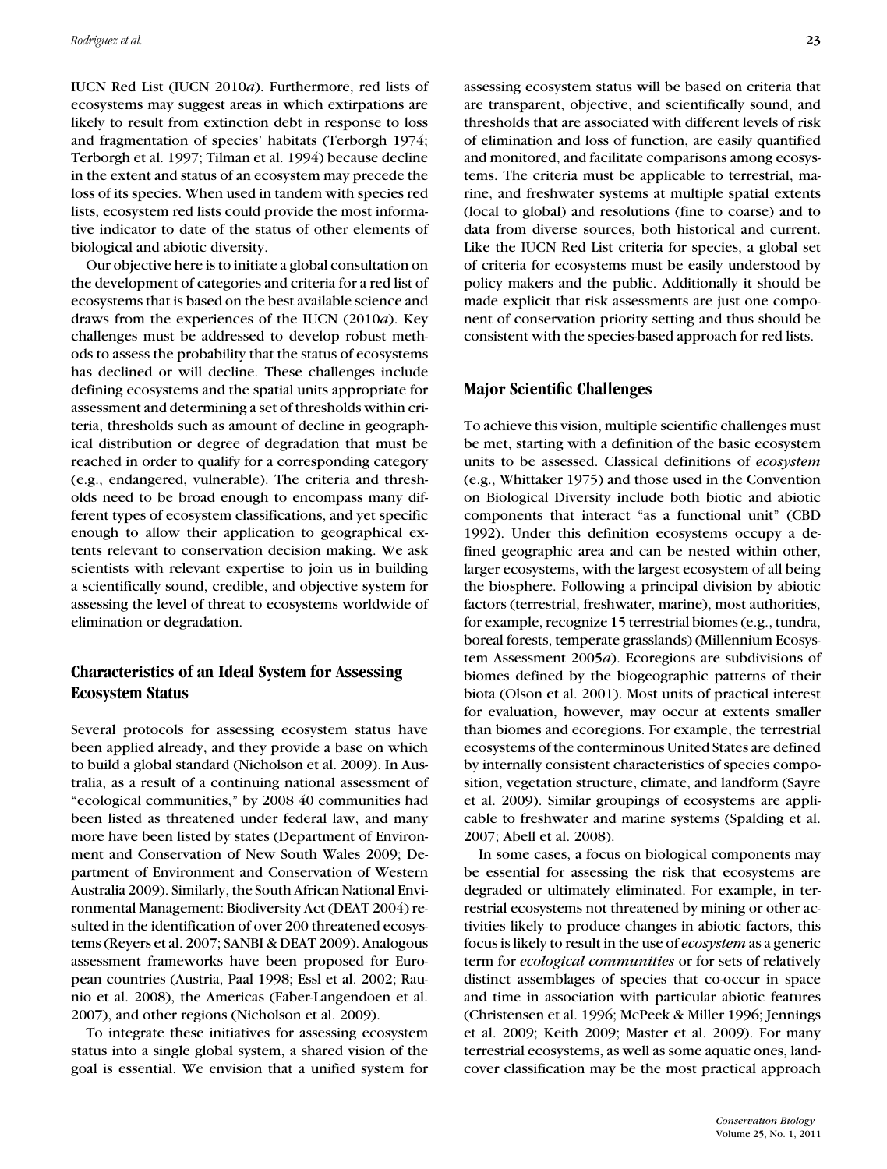IUCN Red List (IUCN 2010*a*). Furthermore, red lists of ecosystems may suggest areas in which extirpations are likely to result from extinction debt in response to loss and fragmentation of species' habitats (Terborgh 1974; Terborgh et al. 1997; Tilman et al. 1994) because decline in the extent and status of an ecosystem may precede the loss of its species. When used in tandem with species red lists, ecosystem red lists could provide the most informative indicator to date of the status of other elements of biological and abiotic diversity.

Our objective here is to initiate a global consultation on the development of categories and criteria for a red list of ecosystems that is based on the best available science and draws from the experiences of the IUCN (2010*a*). Key challenges must be addressed to develop robust methods to assess the probability that the status of ecosystems has declined or will decline. These challenges include defining ecosystems and the spatial units appropriate for assessment and determining a set of thresholds within criteria, thresholds such as amount of decline in geographical distribution or degree of degradation that must be reached in order to qualify for a corresponding category (e.g., endangered, vulnerable). The criteria and thresholds need to be broad enough to encompass many different types of ecosystem classifications, and yet specific enough to allow their application to geographical extents relevant to conservation decision making. We ask scientists with relevant expertise to join us in building a scientifically sound, credible, and objective system for assessing the level of threat to ecosystems worldwide of elimination or degradation.

## **Characteristics of an Ideal System for Assessing Ecosystem Status**

Several protocols for assessing ecosystem status have been applied already, and they provide a base on which to build a global standard (Nicholson et al. 2009). In Australia, as a result of a continuing national assessment of "ecological communities," by 2008 40 communities had been listed as threatened under federal law, and many more have been listed by states (Department of Environment and Conservation of New South Wales 2009; Department of Environment and Conservation of Western Australia 2009). Similarly, the South African National Environmental Management: Biodiversity Act (DEAT 2004) resulted in the identification of over 200 threatened ecosystems (Reyers et al. 2007; SANBI & DEAT 2009). Analogous assessment frameworks have been proposed for European countries (Austria, Paal 1998; Essl et al. 2002; Raunio et al. 2008), the Americas (Faber-Langendoen et al. 2007), and other regions (Nicholson et al. 2009).

To integrate these initiatives for assessing ecosystem status into a single global system, a shared vision of the goal is essential. We envision that a unified system for assessing ecosystem status will be based on criteria that are transparent, objective, and scientifically sound, and thresholds that are associated with different levels of risk of elimination and loss of function, are easily quantified and monitored, and facilitate comparisons among ecosystems. The criteria must be applicable to terrestrial, marine, and freshwater systems at multiple spatial extents (local to global) and resolutions (fine to coarse) and to data from diverse sources, both historical and current. Like the IUCN Red List criteria for species, a global set of criteria for ecosystems must be easily understood by policy makers and the public. Additionally it should be made explicit that risk assessments are just one component of conservation priority setting and thus should be consistent with the species-based approach for red lists.

#### **Major Scientific Challenges**

To achieve this vision, multiple scientific challenges must be met, starting with a definition of the basic ecosystem units to be assessed. Classical definitions of *ecosystem* (e.g., Whittaker 1975) and those used in the Convention on Biological Diversity include both biotic and abiotic components that interact "as a functional unit" (CBD 1992). Under this definition ecosystems occupy a defined geographic area and can be nested within other, larger ecosystems, with the largest ecosystem of all being the biosphere. Following a principal division by abiotic factors (terrestrial, freshwater, marine), most authorities, for example, recognize 15 terrestrial biomes (e.g., tundra, boreal forests, temperate grasslands) (Millennium Ecosystem Assessment 2005*a*). Ecoregions are subdivisions of biomes defined by the biogeographic patterns of their biota (Olson et al. 2001). Most units of practical interest for evaluation, however, may occur at extents smaller than biomes and ecoregions. For example, the terrestrial ecosystems of the conterminous United States are defined by internally consistent characteristics of species composition, vegetation structure, climate, and landform (Sayre et al. 2009). Similar groupings of ecosystems are applicable to freshwater and marine systems (Spalding et al. 2007; Abell et al. 2008).

In some cases, a focus on biological components may be essential for assessing the risk that ecosystems are degraded or ultimately eliminated. For example, in terrestrial ecosystems not threatened by mining or other activities likely to produce changes in abiotic factors, this focus is likely to result in the use of *ecosystem* as a generic term for *ecological communities* or for sets of relatively distinct assemblages of species that co-occur in space and time in association with particular abiotic features (Christensen et al. 1996; McPeek & Miller 1996; Jennings et al. 2009; Keith 2009; Master et al. 2009). For many terrestrial ecosystems, as well as some aquatic ones, landcover classification may be the most practical approach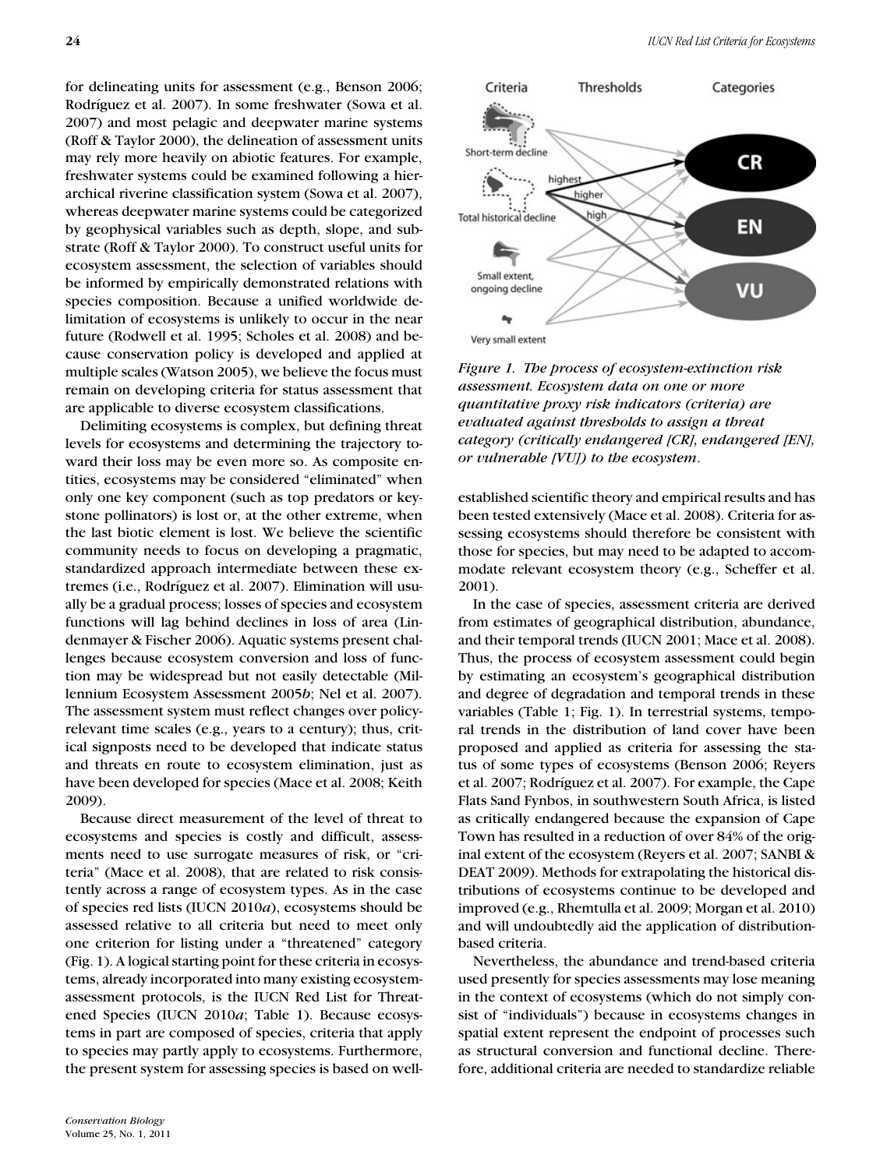for delineating units for assessment (e.g., Benson 2006; Rodríguez et al. 2007). In some freshwater (Sowa et al. 2007) and most pelagic and deepwater marine systems (Roff & Taylor 2000), the delineation of assessment units may rely more heavily on abiotic features. For example, freshwater systems could be examined following a hierarchical riverine classification system (Sowa et al. 2007), whereas deepwater marine systems could be categorized by geophysical variables such as depth, slope, and substrate (Roff & Taylor 2000). To construct useful units for ecosystem assessment, the selection of variables should be informed by empirically demonstrated relations with species composition. Because a unified worldwide delimitation of ecosystems is unlikely to occur in the near future (Rodwell et al. 1995; Scholes et al. 2008) and because conservation policy is developed and applied at multiple scales (Watson 2005), we believe the focus must remain on developing criteria for status assessment that are applicable to diverse ecosystem classifications.

Delimiting ecosystems is complex, but defining threat levels for ecosystems and determining the trajectory toward their loss may be even more so. As composite entities, ecosystems may be considered "eliminated" when only one key component (such as top predators or keystone pollinators) is lost or, at the other extreme, when the last biotic element is lost. We believe the scientific community needs to focus on developing a pragmatic, standardized approach intermediate between these extremes (i.e., Rodríguez et al. 2007). Elimination will usually be a gradual process; losses of species and ecosystem functions will lag behind declines in loss of area (Lindenmayer & Fischer 2006). Aquatic systems present challenges because ecosystem conversion and loss of function may be widespread but not easily detectable (Millennium Ecosystem Assessment 2005*b*; Nel et al. 2007). The assessment system must reflect changes over policyrelevant time scales (e.g., years to a century); thus, critical signposts need to be developed that indicate status and threats en route to ecosystem elimination, just as have been developed for species (Mace et al. 2008; Keith 2009).

Because direct measurement of the level of threat to ecosystems and species is costly and difficult, assessments need to use surrogate measures of risk, or "criteria" (Mace et al. 2008), that are related to risk consistently across a range of ecosystem types. As in the case of species red lists (IUCN 2010*a*), ecosystems should be assessed relative to all criteria but need to meet only one criterion for listing under a "threatened" category (Fig. 1). A logical starting point for these criteria in ecosystems, already incorporated into many existing ecosystemassessment protocols, is the IUCN Red List for Threatened Species (IUCN 2010*a*; Table 1). Because ecosystems in part are composed of species, criteria that apply to species may partly apply to ecosystems. Furthermore, the present system for assessing species is based on well-



*Figure 1. The process of ecosystem-extinction risk assessment. Ecosystem data on one or more quantitative proxy risk indicators (criteria) are evaluated against thresholds to assign a threat category (critically endangered [CR], endangered [EN], or vulnerable [VU]) to the ecosystem*.

established scientific theory and empirical results and has been tested extensively (Mace et al. 2008). Criteria for assessing ecosystems should therefore be consistent with those for species, but may need to be adapted to accommodate relevant ecosystem theory (e.g., Scheffer et al. 2001).

In the case of species, assessment criteria are derived from estimates of geographical distribution, abundance, and their temporal trends (IUCN 2001; Mace et al. 2008). Thus, the process of ecosystem assessment could begin by estimating an ecosystem's geographical distribution and degree of degradation and temporal trends in these variables (Table 1; Fig. 1). In terrestrial systems, temporal trends in the distribution of land cover have been proposed and applied as criteria for assessing the status of some types of ecosystems (Benson 2006; Reyers et al. 2007; Rodríguez et al. 2007). For example, the Cape Flats Sand Fynbos, in southwestern South Africa, is listed as critically endangered because the expansion of Cape Town has resulted in a reduction of over 84% of the original extent of the ecosystem (Reyers et al. 2007; SANBI & DEAT 2009). Methods for extrapolating the historical distributions of ecosystems continue to be developed and improved (e.g., Rhemtulla et al. 2009; Morgan et al. 2010) and will undoubtedly aid the application of distributionbased criteria.

Nevertheless, the abundance and trend-based criteria used presently for species assessments may lose meaning in the context of ecosystems (which do not simply consist of "individuals") because in ecosystems changes in spatial extent represent the endpoint of processes such as structural conversion and functional decline. Therefore, additional criteria are needed to standardize reliable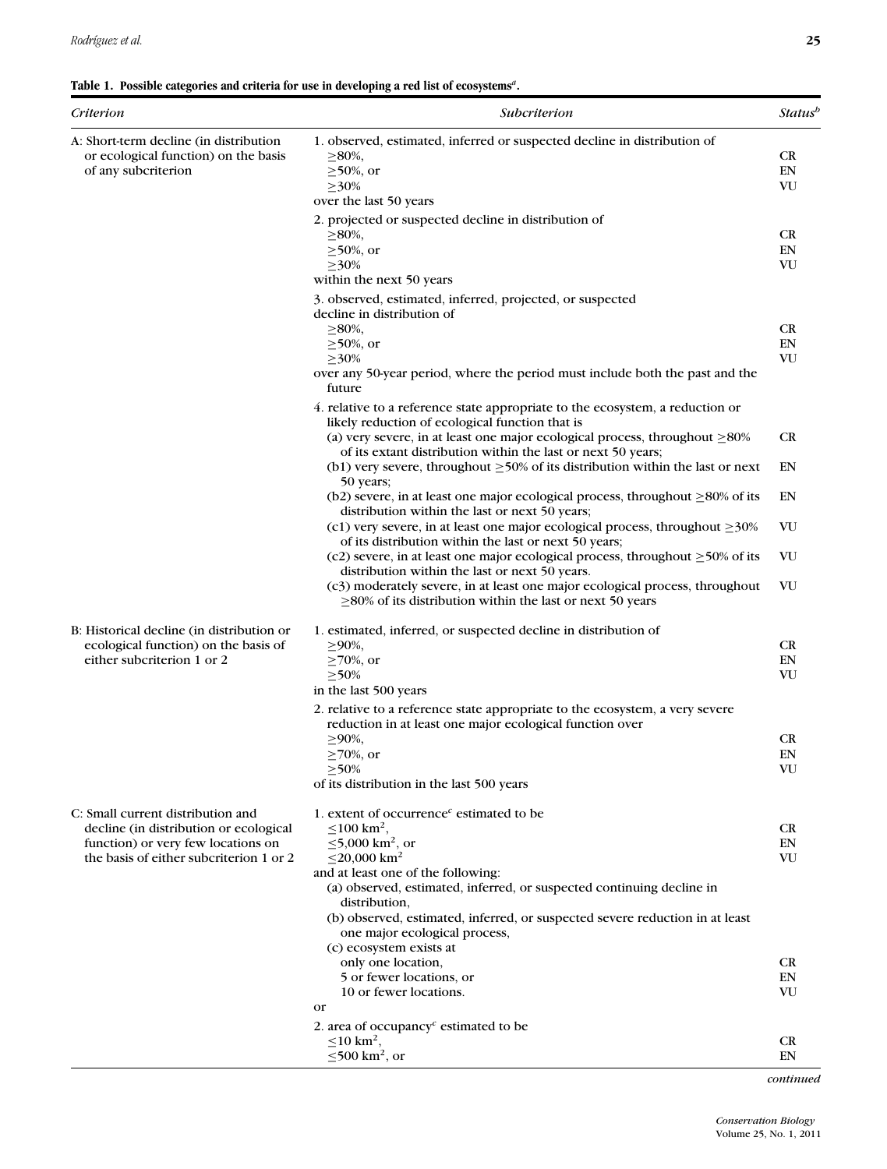# **Table 1. Possible categories and criteria for use in developing a red list of ecosystems***<sup>a</sup>***.**

| Criterion                                                                                                                                                    | <i>Subcriterion</i>                                                                                                                               | <i>Status</i> <sup>b</sup> |
|--------------------------------------------------------------------------------------------------------------------------------------------------------------|---------------------------------------------------------------------------------------------------------------------------------------------------|----------------------------|
| A: Short-term decline (in distribution<br>or ecological function) on the basis<br>of any subcriterion                                                        | 1. observed, estimated, inferred or suspected decline in distribution of<br>$\geq$ 80%,<br>$\geq 50\%$ , or<br>$>30\%$<br>over the last 50 years  | <b>CR</b><br>EN<br>VU      |
|                                                                                                                                                              | 2. projected or suspected decline in distribution of<br>$\geq$ 80%,<br>$\geq 50\%$ , or                                                           | <b>CR</b><br>EN            |
|                                                                                                                                                              | $>30\%$<br>within the next 50 years                                                                                                               | VU                         |
|                                                                                                                                                              | 3. observed, estimated, inferred, projected, or suspected<br>decline in distribution of                                                           |                            |
|                                                                                                                                                              | $>80\%$ ,<br>$\geq 50\%$ , or                                                                                                                     | <b>CR</b><br>EN            |
|                                                                                                                                                              | $>30\%$<br>over any 50-year period, where the period must include both the past and the<br>future                                                 | VU                         |
|                                                                                                                                                              | 4. relative to a reference state appropriate to the ecosystem, a reduction or<br>likely reduction of ecological function that is                  |                            |
|                                                                                                                                                              | (a) very severe, in at least one major ecological process, throughout $\geq 80\%$<br>of its extant distribution within the last or next 50 years; | <b>CR</b>                  |
|                                                                                                                                                              | (b1) very severe, throughout $\geq$ 50% of its distribution within the last or next<br>50 years;                                                  | EN                         |
|                                                                                                                                                              | (b2) severe, in at least one major ecological process, throughout $\geq 80\%$ of its<br>distribution within the last or next 50 years;            | EN                         |
|                                                                                                                                                              | (c1) very severe, in at least one major ecological process, throughout $\geq$ 30%<br>of its distribution within the last or next 50 years;        | VU                         |
|                                                                                                                                                              | (c2) severe, in at least one major ecological process, throughout $\geq$ 50% of its<br>distribution within the last or next 50 years.             | VU                         |
|                                                                                                                                                              | (c3) moderately severe, in at least one major ecological process, throughout<br>$\geq$ 80% of its distribution within the last or next 50 years   | VU                         |
| B: Historical decline (in distribution or<br>ecological function) on the basis of<br>either subcriterion 1 or 2                                              | 1. estimated, inferred, or suspected decline in distribution of<br>$\geq 90\%$ ,                                                                  | <b>CR</b>                  |
|                                                                                                                                                              | $\geq$ 70%, or                                                                                                                                    | EN                         |
|                                                                                                                                                              | $> 50\%$<br>in the last 500 years                                                                                                                 | VU                         |
|                                                                                                                                                              | 2. relative to a reference state appropriate to the ecosystem, a very severe<br>reduction in at least one major ecological function over          |                            |
|                                                                                                                                                              | $\geq$ 90%,<br>$\geq$ 70%, or                                                                                                                     | CR<br>EN                   |
|                                                                                                                                                              | $>50\%$<br>of its distribution in the last 500 years                                                                                              | VU                         |
|                                                                                                                                                              | 1. extent of occurrence $c$ estimated to be                                                                                                       |                            |
| C: Small current distribution and<br>decline (in distribution or ecological<br>function) or very few locations on<br>the basis of either subcriterion 1 or 2 | $\leq$ 100 km <sup>2</sup> ,                                                                                                                      | <b>CR</b>                  |
|                                                                                                                                                              | ≤5,000 km <sup>2</sup> , or<br>$\leq$ 20,000 km <sup>2</sup>                                                                                      | EN<br>VU                   |
|                                                                                                                                                              | and at least one of the following:<br>(a) observed, estimated, inferred, or suspected continuing decline in                                       |                            |
|                                                                                                                                                              | distribution,<br>(b) observed, estimated, inferred, or suspected severe reduction in at least                                                     |                            |
|                                                                                                                                                              | one major ecological process,<br>(c) ecosystem exists at                                                                                          |                            |
|                                                                                                                                                              | only one location,                                                                                                                                | <b>CR</b>                  |
|                                                                                                                                                              | 5 or fewer locations, or<br>10 or fewer locations.                                                                                                | EN<br>VU                   |
|                                                                                                                                                              | <b>or</b>                                                                                                                                         |                            |
|                                                                                                                                                              | 2. area of occupancy $c$ estimated to be                                                                                                          |                            |
|                                                                                                                                                              | $\leq$ 10 km <sup>2</sup> ,<br>$\leq$ 500 km <sup>2</sup> , or                                                                                    | CR<br>EN                   |
|                                                                                                                                                              |                                                                                                                                                   |                            |

*continued*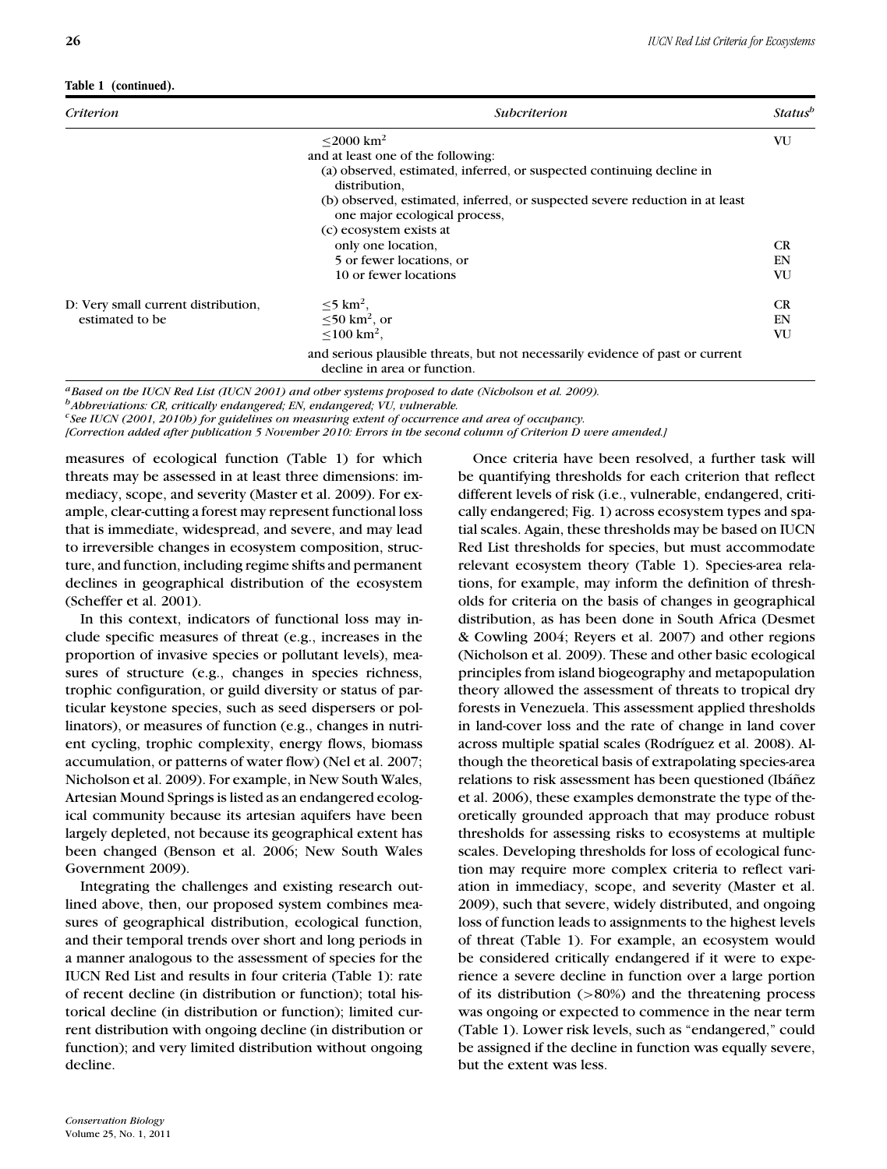#### **Table 1 (continued).**

| Criterion                           | <b>Subcriterion</b>                                                                                            | <i>Status</i> <sup>b</sup> |
|-------------------------------------|----------------------------------------------------------------------------------------------------------------|----------------------------|
|                                     | $\rm {\leq}2000~km^2$                                                                                          | VU                         |
|                                     | and at least one of the following:                                                                             |                            |
|                                     | (a) observed, estimated, inferred, or suspected continuing decline in<br>distribution,                         |                            |
|                                     | (b) observed, estimated, inferred, or suspected severe reduction in at least<br>one major ecological process,  |                            |
|                                     | (c) ecosystem exists at                                                                                        |                            |
|                                     | only one location,                                                                                             | <b>CR</b>                  |
|                                     | 5 or fewer locations, or                                                                                       | EN                         |
|                                     | 10 or fewer locations                                                                                          | VU                         |
| D: Very small current distribution, | $\leq$ 5 km <sup>2</sup> .                                                                                     | CR                         |
| estimated to be                     | $\leq 50$ km <sup>2</sup> , or                                                                                 | EN                         |
|                                     | $\leq 100$ km <sup>2</sup> .                                                                                   | VU                         |
|                                     | and serious plausible threats, but not necessarily evidence of past or current<br>decline in area or function. |                            |

*aBased on the IUCN Red List (IUCN 2001) and other systems proposed to date (Nicholson et al. 2009).*

*bAbbreviations: CR, critically endangered; EN, endangered; VU, vulnerable.*

*cSee IUCN (2001, 2010b) for guidelines on measuring extent of occurrence and area of occupancy. [Correction added after publication 5 November 2010: Errors in the second column of Criterion D were amended.]*

measures of ecological function (Table 1) for which threats may be assessed in at least three dimensions: immediacy, scope, and severity (Master et al. 2009). For example, clear-cutting a forest may represent functional loss that is immediate, widespread, and severe, and may lead to irreversible changes in ecosystem composition, structure, and function, including regime shifts and permanent declines in geographical distribution of the ecosystem (Scheffer et al. 2001).

In this context, indicators of functional loss may include specific measures of threat (e.g., increases in the proportion of invasive species or pollutant levels), measures of structure (e.g., changes in species richness, trophic configuration, or guild diversity or status of particular keystone species, such as seed dispersers or pollinators), or measures of function (e.g., changes in nutrient cycling, trophic complexity, energy flows, biomass accumulation, or patterns of water flow) (Nel et al. 2007; Nicholson et al. 2009). For example, in New South Wales, Artesian Mound Springs is listed as an endangered ecological community because its artesian aquifers have been largely depleted, not because its geographical extent has been changed (Benson et al. 2006; New South Wales Government 2009).

Integrating the challenges and existing research outlined above, then, our proposed system combines measures of geographical distribution, ecological function, and their temporal trends over short and long periods in a manner analogous to the assessment of species for the IUCN Red List and results in four criteria (Table 1): rate of recent decline (in distribution or function); total historical decline (in distribution or function); limited current distribution with ongoing decline (in distribution or function); and very limited distribution without ongoing decline.

*Conservation Biology* Volume 25, No. 1, 2011

Once criteria have been resolved, a further task will be quantifying thresholds for each criterion that reflect different levels of risk (i.e., vulnerable, endangered, critically endangered; Fig. 1) across ecosystem types and spatial scales. Again, these thresholds may be based on IUCN Red List thresholds for species, but must accommodate relevant ecosystem theory (Table 1). Species-area relations, for example, may inform the definition of thresholds for criteria on the basis of changes in geographical distribution, as has been done in South Africa (Desmet & Cowling 2004; Reyers et al. 2007) and other regions (Nicholson et al. 2009). These and other basic ecological principles from island biogeography and metapopulation theory allowed the assessment of threats to tropical dry forests in Venezuela. This assessment applied thresholds in land-cover loss and the rate of change in land cover across multiple spatial scales (Rodríguez et al. 2008). Although the theoretical basis of extrapolating species-area relations to risk assessment has been questioned (Ibáñez et al. 2006), these examples demonstrate the type of theoretically grounded approach that may produce robust thresholds for assessing risks to ecosystems at multiple scales. Developing thresholds for loss of ecological function may require more complex criteria to reflect variation in immediacy, scope, and severity (Master et al. 2009), such that severe, widely distributed, and ongoing loss of function leads to assignments to the highest levels of threat (Table 1). For example, an ecosystem would be considered critically endangered if it were to experience a severe decline in function over a large portion of its distribution  $(>80%)$  and the threatening process was ongoing or expected to commence in the near term (Table 1). Lower risk levels, such as "endangered," could be assigned if the decline in function was equally severe, but the extent was less.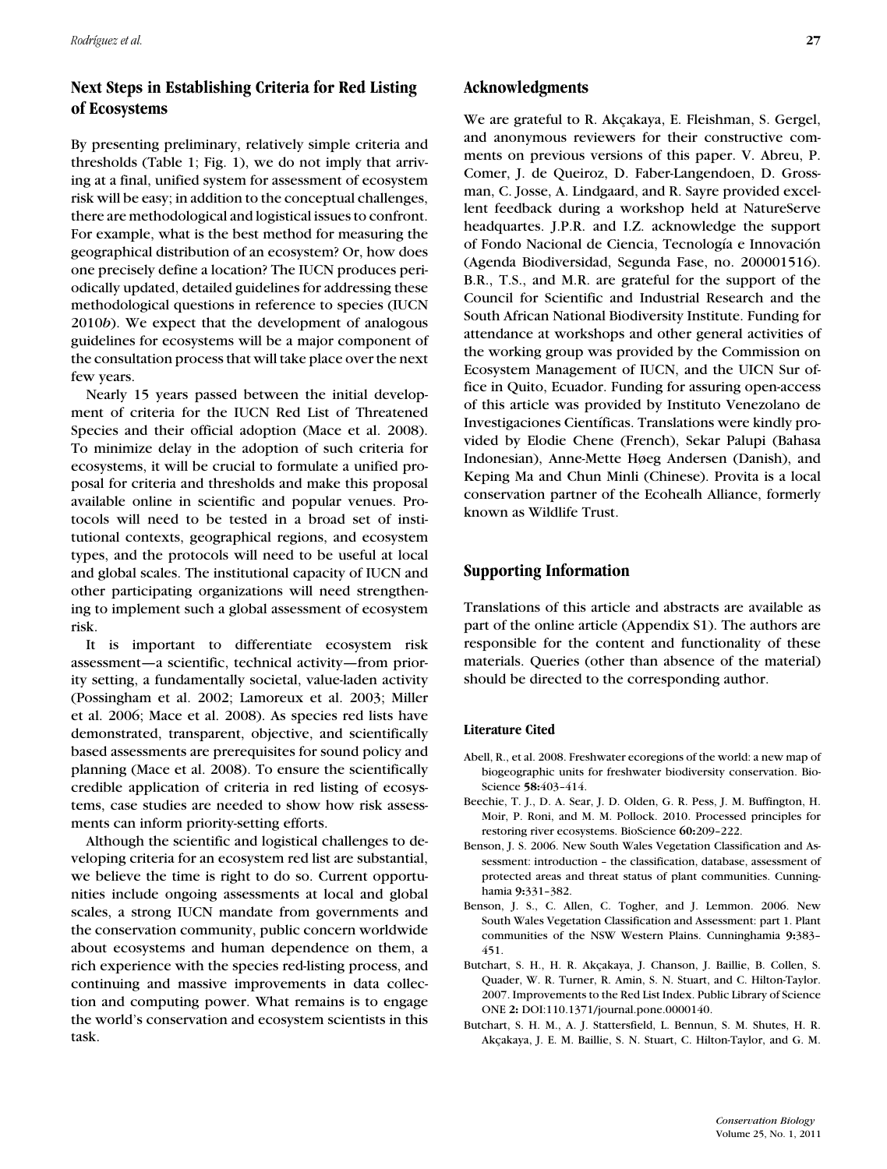# **Next Steps in Establishing Criteria for Red Listing of Ecosystems**

By presenting preliminary, relatively simple criteria and thresholds (Table 1; Fig. 1), we do not imply that arriving at a final, unified system for assessment of ecosystem risk will be easy; in addition to the conceptual challenges, there are methodological and logistical issues to confront. For example, what is the best method for measuring the geographical distribution of an ecosystem? Or, how does one precisely define a location? The IUCN produces periodically updated, detailed guidelines for addressing these methodological questions in reference to species (IUCN 2010*b*). We expect that the development of analogous guidelines for ecosystems will be a major component of the consultation process that will take place over the next few years.

Nearly 15 years passed between the initial development of criteria for the IUCN Red List of Threatened Species and their official adoption (Mace et al. 2008). To minimize delay in the adoption of such criteria for ecosystems, it will be crucial to formulate a unified proposal for criteria and thresholds and make this proposal available online in scientific and popular venues. Protocols will need to be tested in a broad set of institutional contexts, geographical regions, and ecosystem types, and the protocols will need to be useful at local and global scales. The institutional capacity of IUCN and other participating organizations will need strengthening to implement such a global assessment of ecosystem risk.

It is important to differentiate ecosystem risk assessment—a scientific, technical activity—from priority setting, a fundamentally societal, value-laden activity (Possingham et al. 2002; Lamoreux et al. 2003; Miller et al. 2006; Mace et al. 2008). As species red lists have demonstrated, transparent, objective, and scientifically based assessments are prerequisites for sound policy and planning (Mace et al. 2008). To ensure the scientifically credible application of criteria in red listing of ecosystems, case studies are needed to show how risk assessments can inform priority-setting efforts.

Although the scientific and logistical challenges to developing criteria for an ecosystem red list are substantial, we believe the time is right to do so. Current opportunities include ongoing assessments at local and global scales, a strong IUCN mandate from governments and the conservation community, public concern worldwide about ecosystems and human dependence on them, a rich experience with the species red-listing process, and continuing and massive improvements in data collection and computing power. What remains is to engage the world's conservation and ecosystem scientists in this task.

#### **Acknowledgments**

We are grateful to R. Akçakaya, E. Fleishman, S. Gergel, and anonymous reviewers for their constructive comments on previous versions of this paper. V. Abreu, P. Comer, J. de Queiroz, D. Faber-Langendoen, D. Grossman, C. Josse, A. Lindgaard, and R. Sayre provided excellent feedback during a workshop held at NatureServe headquartes. J.P.R. and I.Z. acknowledge the support of Fondo Nacional de Ciencia, Tecnología e Innovación (Agenda Biodiversidad, Segunda Fase, no. 200001516). B.R., T.S., and M.R. are grateful for the support of the Council for Scientific and Industrial Research and the South African National Biodiversity Institute. Funding for attendance at workshops and other general activities of the working group was provided by the Commission on Ecosystem Management of IUCN, and the UICN Sur office in Quito, Ecuador. Funding for assuring open-access of this article was provided by Instituto Venezolano de Investigaciones Científicas. Translations were kindly provided by Elodie Chene (French), Sekar Palupi (Bahasa Indonesian), Anne-Mette Høeg Andersen (Danish), and Keping Ma and Chun Minli (Chinese). Provita is a local conservation partner of the Ecohealh Alliance, formerly known as Wildlife Trust.

### **Supporting Information**

Translations of this article and abstracts are available as part of the online article (Appendix S1). The authors are responsible for the content and functionality of these materials. Queries (other than absence of the material) should be directed to the corresponding author.

#### **Literature Cited**

- Abell, R., et al. 2008. Freshwater ecoregions of the world: a new map of biogeographic units for freshwater biodiversity conservation. Bio-Science **58:**403–414.
- Beechie, T. J., D. A. Sear, J. D. Olden, G. R. Pess, J. M. Buffington, H. Moir, P. Roni, and M. M. Pollock. 2010. Processed principles for restoring river ecosystems. BioScience **60:**209–222.
- Benson, J. S. 2006. New South Wales Vegetation Classification and Assessment: introduction – the classification, database, assessment of protected areas and threat status of plant communities. Cunninghamia **9:**331–382.
- Benson, J. S., C. Allen, C. Togher, and J. Lemmon. 2006. New South Wales Vegetation Classification and Assessment: part 1. Plant communities of the NSW Western Plains. Cunninghamia **9:**383– 451.
- Butchart, S. H., H. R. Akçakaya, J. Chanson, J. Baillie, B. Collen, S. Quader, W. R. Turner, R. Amin, S. N. Stuart, and C. Hilton-Taylor. 2007. Improvements to the Red List Index. Public Library of Science ONE **2:** DOI:110.1371/journal.pone.0000140.
- Butchart, S. H. M., A. J. Stattersfield, L. Bennun, S. M. Shutes, H. R. Akçakaya, J. E. M. Baillie, S. N. Stuart, C. Hilton-Taylor, and G. M.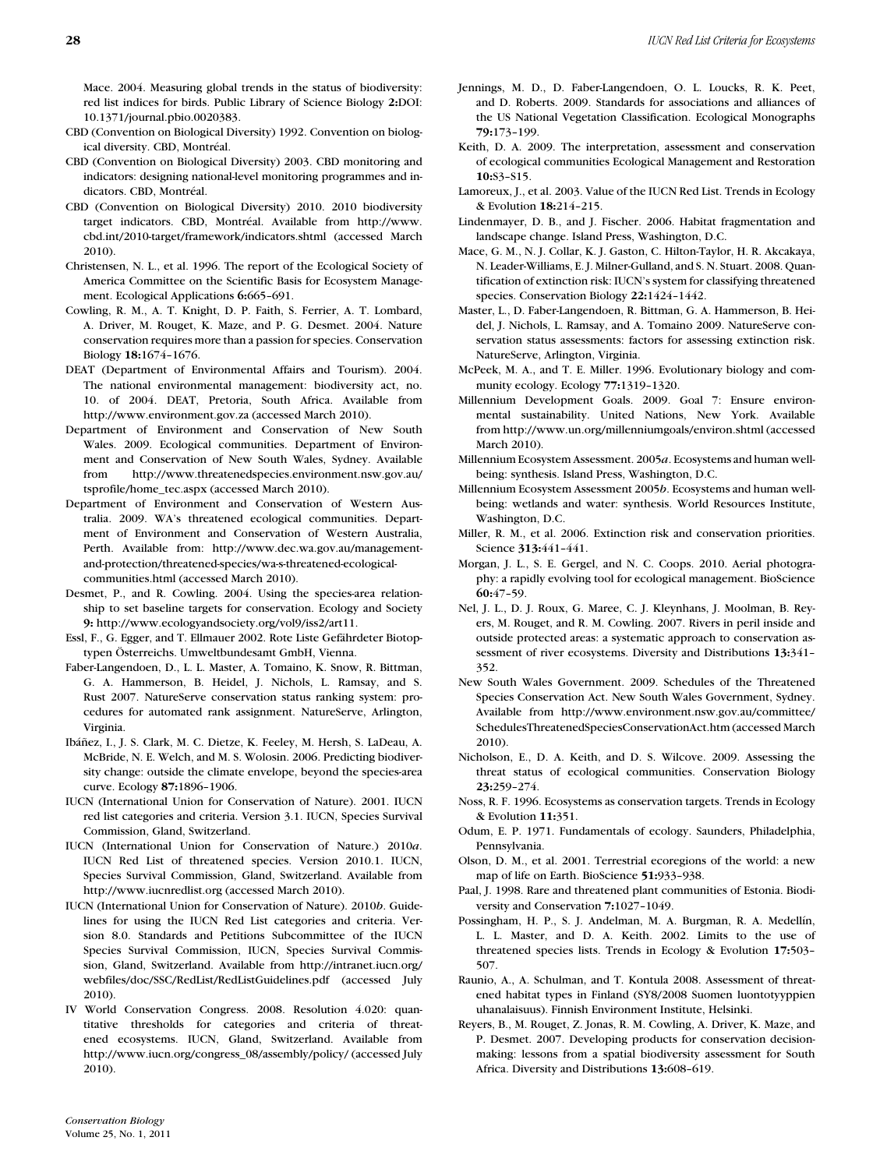Mace. 2004. Measuring global trends in the status of biodiversity: red list indices for birds. Public Library of Science Biology **2:**DOI: 10.1371/journal.pbio.0020383.

- CBD (Convention on Biological Diversity) 1992. Convention on biological diversity. CBD, Montréal.
- CBD (Convention on Biological Diversity) 2003. CBD monitoring and indicators: designing national-level monitoring programmes and indicators. CBD, Montréal.
- CBD (Convention on Biological Diversity) 2010. 2010 biodiversity target indicators. CBD, Montréal. Available from http://www. cbd.int/2010-target/framework/indicators.shtml (accessed March 2010).
- Christensen, N. L., et al. 1996. The report of the Ecological Society of America Committee on the Scientific Basis for Ecosystem Management. Ecological Applications **6:**665–691.
- Cowling, R. M., A. T. Knight, D. P. Faith, S. Ferrier, A. T. Lombard, A. Driver, M. Rouget, K. Maze, and P. G. Desmet. 2004. Nature conservation requires more than a passion for species. Conservation Biology **18:**1674–1676.
- DEAT (Department of Environmental Affairs and Tourism). 2004. The national environmental management: biodiversity act, no. 10. of 2004. DEAT, Pretoria, South Africa. Available from http://www.environment.gov.za (accessed March 2010).
- Department of Environment and Conservation of New South Wales. 2009. Ecological communities. Department of Environment and Conservation of New South Wales, Sydney. Available from http://www.threatenedspecies.environment.nsw.gov.au/ tsprofile/home\_tec.aspx (accessed March 2010).
- Department of Environment and Conservation of Western Australia. 2009. WA's threatened ecological communities. Department of Environment and Conservation of Western Australia, Perth. Available from: http://www.dec.wa.gov.au/managementand-protection/threatened-species/wa-s-threatened-ecologicalcommunities.html (accessed March 2010).
- Desmet, P., and R. Cowling. 2004. Using the species-area relationship to set baseline targets for conservation. Ecology and Society **9:** http://www.ecologyandsociety.org/vol9/iss2/art11.
- Essl, F., G. Egger, and T. Ellmauer 2002. Rote Liste Gefährdeter Biotoptypen Österreichs. Umweltbundesamt GmbH, Vienna.
- Faber-Langendoen, D., L. L. Master, A. Tomaino, K. Snow, R. Bittman, G. A. Hammerson, B. Heidel, J. Nichols, L. Ramsay, and S. Rust 2007. NatureServe conservation status ranking system: procedures for automated rank assignment. NatureServe, Arlington, Virginia.
- Ibáñez, I., J. S. Clark, M. C. Dietze, K. Feeley, M. Hersh, S. LaDeau, A. McBride, N. E. Welch, and M. S. Wolosin. 2006. Predicting biodiversity change: outside the climate envelope, beyond the species-area curve. Ecology **87:**1896–1906.
- IUCN (International Union for Conservation of Nature). 2001. IUCN red list categories and criteria. Version 3.1. IUCN, Species Survival Commission, Gland, Switzerland.
- IUCN (International Union for Conservation of Nature.) 2010*a*. IUCN Red List of threatened species. Version 2010.1. IUCN, Species Survival Commission, Gland, Switzerland. Available from http://www.iucnredlist.org (accessed March 2010).
- IUCN (International Union for Conservation of Nature). 2010*b*. Guidelines for using the IUCN Red List categories and criteria. Version 8.0. Standards and Petitions Subcommittee of the IUCN Species Survival Commission, IUCN, Species Survival Commission, Gland, Switzerland. Available from http://intranet.iucn.org/ webfiles/doc/SSC/RedList/RedListGuidelines.pdf (accessed July 2010).
- IV World Conservation Congress. 2008. Resolution 4.020: quantitative thresholds for categories and criteria of threatened ecosystems. IUCN, Gland, Switzerland. Available from http://www.iucn.org/congress\_08/assembly/policy/ (accessed July 2010).
- Jennings, M. D., D. Faber-Langendoen, O. L. Loucks, R. K. Peet, and D. Roberts. 2009. Standards for associations and alliances of the US National Vegetation Classification. Ecological Monographs **79:**173–199.
- Keith, D. A. 2009. The interpretation, assessment and conservation of ecological communities Ecological Management and Restoration **10:**S3–S15.
- Lamoreux, J., et al. 2003. Value of the IUCN Red List. Trends in Ecology & Evolution **18:**214–215.
- Lindenmayer, D. B., and J. Fischer. 2006. Habitat fragmentation and landscape change. Island Press, Washington, D.C.
- Mace, G. M., N. J. Collar, K. J. Gaston, C. Hilton-Taylor, H. R. Akcakaya, N. Leader-Williams, E. J. Milner-Gulland, and S. N. Stuart. 2008. Quantification of extinction risk: IUCN's system for classifying threatened species. Conservation Biology **22:**1424–1442.
- Master, L., D. Faber-Langendoen, R. Bittman, G. A. Hammerson, B. Heidel, J. Nichols, L. Ramsay, and A. Tomaino 2009. NatureServe conservation status assessments: factors for assessing extinction risk. NatureServe, Arlington, Virginia.
- McPeek, M. A., and T. E. Miller. 1996. Evolutionary biology and community ecology. Ecology **77:**1319–1320.
- Millennium Development Goals. 2009. Goal 7: Ensure environmental sustainability. United Nations, New York. Available from http://www.un.org/millenniumgoals/environ.shtml (accessed March 2010).
- Millennium Ecosystem Assessment. 2005*a*. Ecosystems and human wellbeing: synthesis. Island Press, Washington, D.C.
- Millennium Ecosystem Assessment 2005*b*. Ecosystems and human wellbeing: wetlands and water: synthesis. World Resources Institute, Washington, D.C.
- Miller, R. M., et al. 2006. Extinction risk and conservation priorities. Science **313:**441–441.
- Morgan, J. L., S. E. Gergel, and N. C. Coops. 2010. Aerial photography: a rapidly evolving tool for ecological management. BioScience **60:**47–59.
- Nel, J. L., D. J. Roux, G. Maree, C. J. Kleynhans, J. Moolman, B. Reyers, M. Rouget, and R. M. Cowling. 2007. Rivers in peril inside and outside protected areas: a systematic approach to conservation assessment of river ecosystems. Diversity and Distributions **13:**341– 352.
- New South Wales Government. 2009. Schedules of the Threatened Species Conservation Act. New South Wales Government, Sydney. Available from http://www.environment.nsw.gov.au/committee/ SchedulesThreatenedSpeciesConservationAct.htm (accessed March 2010).
- Nicholson, E., D. A. Keith, and D. S. Wilcove. 2009. Assessing the threat status of ecological communities. Conservation Biology **23:**259–274.
- Noss, R. F. 1996. Ecosystems as conservation targets. Trends in Ecology & Evolution **11:**351.
- Odum, E. P. 1971. Fundamentals of ecology. Saunders, Philadelphia, Pennsylvania.
- Olson, D. M., et al. 2001. Terrestrial ecoregions of the world: a new map of life on Earth. BioScience **51:**933–938.
- Paal, J. 1998. Rare and threatened plant communities of Estonia. Biodiversity and Conservation **7:**1027–1049.
- Possingham, H. P., S. J. Andelman, M. A. Burgman, R. A. Medellín, L. L. Master, and D. A. Keith. 2002. Limits to the use of threatened species lists. Trends in Ecology & Evolution **17:**503– 507.
- Raunio, A., A. Schulman, and T. Kontula 2008. Assessment of threatened habitat types in Finland (SY8/2008 Suomen luontotyyppien uhanalaisuus). Finnish Environment Institute, Helsinki.
- Reyers, B., M. Rouget, Z. Jonas, R. M. Cowling, A. Driver, K. Maze, and P. Desmet. 2007. Developing products for conservation decisionmaking: lessons from a spatial biodiversity assessment for South Africa. Diversity and Distributions **13:**608–619.